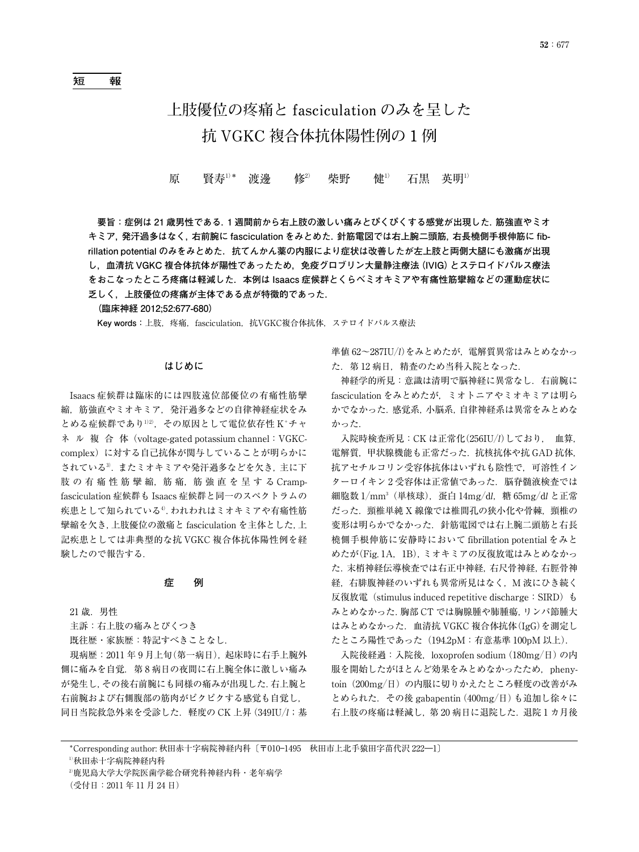# **上肢優位の疼痛と fasciculation のみを呈した 抗 VGKC 複合体抗体陽性例の 1 例**

# 原 賢寿<sup>1)</sup>\* 渡邊 修<sup>2)</sup> 柴野 健<sup>1)</sup> 石黒 英明<sup>1)</sup>

**要旨:症例は 21 歳男性である.1 週間前から右上肢の激しい痛みとぴくぴくする感覚が出現した.筋強直やミオ キミア,発汗過多はなく,右前腕に fasciculation をみとめた.針筋電図では右上腕二頭筋,右長橈側手根伸筋に fib**rillation potential のみをみとめた. 抗てんかん薬の内服により症状は改善したが左上肢と両側大腿にも激痛が出現 **し,血清抗 VGKC 複合体抗体が陽性であったため,免疫グロブリン大量静注療法(IVIG)とステロイドパルス療法 をおこなったところ疼痛は軽減した.本例は Isaacs 症候群とくらべミオキミアや有痛性筋攣縮などの運動症状に 乏しく,上肢優位の疼痛が主体である点が特徴的であった.**

**(臨床神経 2012;52:677-680)**

**Key words:**上肢,疼痛,fasciculation,抗VGKC複合体抗体,ステロイドパルス療法

### **はじめに**

Isaacs 症候群は臨床的には四肢遠位部優位の有痛性筋攣 縮,筋強直やミオキミア,発汗過多などの自律神経症状をみ とめる症候群であり1)2), その原因として電位依存性 K+チャ ネ ル 複 合 体 (voltage-gated potassium channel: VGKCcomplex)に対する自己抗体が関与していることが明らかに されている3).またミオキミアや発汗過多などを欠き,主に下 肢の有痛性筋攣縮,筋痛,筋強直を呈するCrampfasciculation 症候群も Isaacs 症候群と同一のスペクトラムの 疾患として知られている4).われわれはミオキミアや有痛性筋 攣縮を欠き,上肢優位の激痛と fasciculation を主体とした,上 記疾患としては非典型的な抗 VGKC 複合体抗体陽性例を経 験したので報告する.

#### **症 例**

21 歳.男性

主訴:右上肢の痛みとぴくつき

既往歴・家族歴:特記すべきことなし.

現病歴:2011 年 9 月上旬(第一病日),起床時に右手上腕外 側に痛みを自覚.第 8 病日の夜間に右上腕全体に激しい痛み が発生し,その後右前腕にも同様の痛みが出現した.右上腕と 右前腕および右側腹部の筋肉がピクピクする感覚も自覚し, 同日当院救急外来を受診した.軽度の CK 上昇 (349IU*/l*;基 準値 62~287IU-*l*)をみとめたが,電解質異常はみとめなかっ た.第 12 病日,精査のため当科入院となった.

神経学的所見:意識は清明で脳神経に異常なし.右前腕に fasciculation をみとめたが,ミオトニアやミオキミアは明ら かでなかった.感覚系,小脳系,自律神経系は異常をみとめな かった.

入院時検査所見:CK は正常化(256IU*/l*)しており, 血算, 電解質,甲状腺機能も正常だった.抗核抗体や抗 GAD 抗体, 抗アセチルコリン受容体抗体はいずれも陰性で,可溶性イン ターロイキン2受容体は正常値であった. 脳脊髄液検査では 細胞数 1/mm<sup>3</sup>(単核球),蛋白 14mg/d*l*,糖 65mg/d*l* と正常 だった.頸椎単純 X 線像では椎間孔の狭小化や骨棘,頸椎の 変形は明らかでなかった.針筋電図では右上腕二頭筋と右長 橈側手根伸筋に安静時において fibrillation potential をみと めたが(Fig. 1A,1B),ミオキミアの反復放電はみとめなかっ た.末梢神経伝導検査では右正中神経,右尺骨神経,右脛骨神 経, 右腓腹神経のいずれも異常所見はなく, M 波にひき続く 反復放電 (stimulus induced repetitive discharge: SIRD) も みとめなかった.胸部 CT では胸腺腫や肺腫瘍,リンパ節腫大 はみとめなかった.血清抗 VGKC 複合体抗体(IgG)を測定し たところ陽性であった (194.2pM: 有意基準 100pM 以上).

入院後経過:入院後,loxoprofen sodium (180mg/日) の内 服を開始したがほとんど効果をみとめなかったため、phenytoin(200mg/日)の内服に切りかえたところ軽度の改善がみ とめられた.その後 gabapentin (400mg/日) も追加し徐々に 右上肢の疼痛は軽減し,第 20 病日に退院した.退院 1 カ月後

1)秋田赤十字病院神経内科

(受付日:2011 年 11 月 24 日)

<sup>\*</sup>Corresponding author: 秋田赤十字病院神経内科〔〒010―1495 秋田市上北手猿田字苗代沢 222―1〕

<sup>2)</sup>鹿児島大学大学院医歯学総合研究科神経内科・老年病学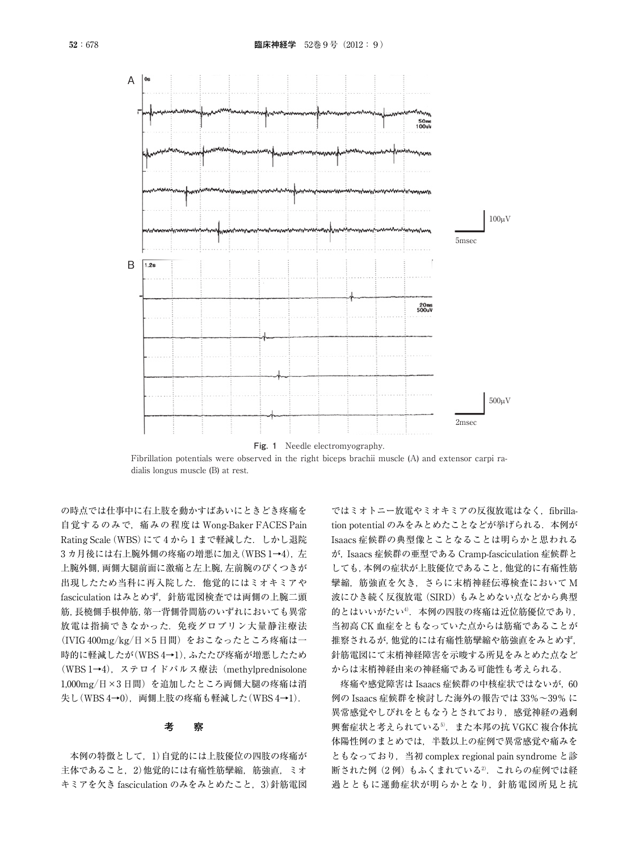

Fibrillation potentials were observed in the right biceps brachii muscle (A) and extensor carpi radialis longus muscle (B) at rest.

の時点では仕事中に右上肢を動かすばあいにときどき疼痛を 自覚するのみで,痛みの程度は Wong-Baker FACES Pain Rating Scale (WBS)にて4から1まで軽減した. しかし退院 3カ月後には右上腕外側の疼痛の増悪に加え(WBS 1→4), 左 上腕外側,両側大腿前面に激痛と左上腕,左前腕のぴくつきが 出現したため当科に再入院した.他覚的にはミオキミアや fasciculation はみとめず、針筋電図検査では両側の上腕二頭 筋,長橈側手根伸筋,第一背側骨間筋のいずれにおいても異常 放電は指摘できなかった.免疫グロブリン大量静注療法 (IVIG 400mg/kg/日×5 日間)をおこなったところ疼痛は一 時的に軽減したが(WBS 4→1),ふたたび疼痛が増悪したため (WBS 1→4),ステロイドパルス療法(methylprednisolone 1,000mg/日×3 日間)を追加したところ両側大腿の疼痛は消 失し(WBS 4→0), 両側上肢の疼痛も軽減した(WBS 4→1).

## **考 察**

本例の特徴として,1)自覚的には上肢優位の四肢の疼痛が 主体であること. 2)他覚的には有痛性筋攣縮, 筋強直, ミオ キミアを欠き fasciculation のみをみとめたこと,3)針筋電図

ではミオトニー放電やミオキミアの反復放電はなく、fibrillation potential のみをみとめたことなどが挙げられる. 本例が Isaacs 症候群の典型像とことなることは明らかと思われる が,Isaacs 症候群の亜型である Cramp-fasciculation 症候群と しても,本例の症状が上肢優位であること,他覚的に有痛性筋 攣縮,筋強直を欠き,さらに末梢神経伝導検査において M 波にひき続く反復放電(SIRD)もみとめない点などから典型 的とはいいがたい4). 本例の四肢の疼痛は近位筋優位であり, 当初高 CK 血症をともなっていた点からは筋痛であることが 推察されるが,他覚的には有痛性筋攣縮や筋強直をみとめず, 針筋電図にて末梢神経障害を示唆する所見をみとめた点など からは末梢神経由来の神経痛である可能性も考えられる.

疼痛や感覚障害は Isaacs 症候群の中核症状ではないが, 60 例の Isaacs 症候群を検討した海外の報告では 33%~39% に 異常感覚やしびれをともなうとされており、感覚神経の過剰 興奮症状と考えられている<sup>5)</sup>. また本邦の抗 VGKC 複合体抗 体陽性例のまとめでは,半数以上の症例で異常感覚や痛みを ともなっており,当初 complex regional pain syndrome と診 断された例(2例)もふくまれている2. これらの症例では経 過とともに運動症状が明らかとなり,針筋電図所見と抗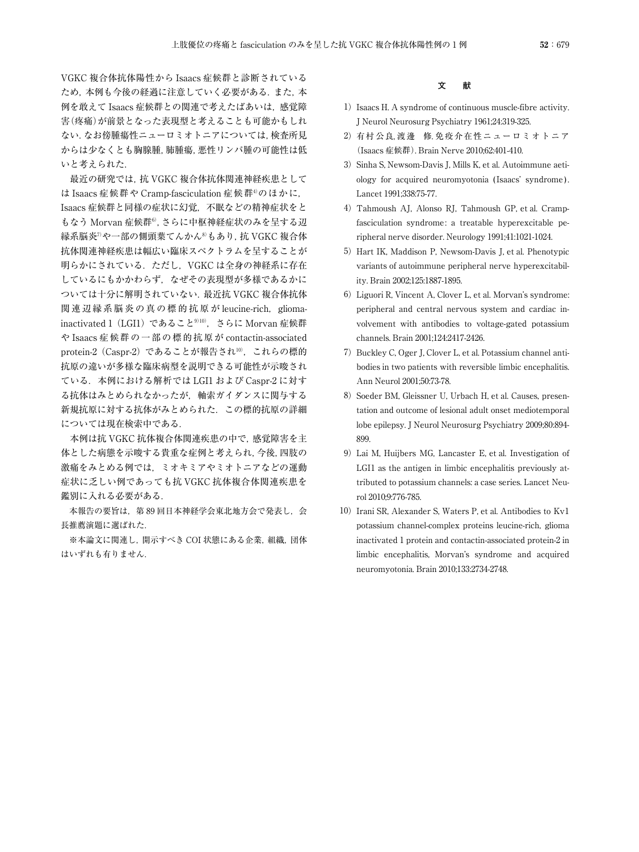VGKC 複合体抗体陽性から Isaacs 症候群と診断されている ため,本例も今後の経過に注意していく必要がある.また,本 例を敢えて Isaacs 症候群との関連で考えたばあいは,感覚障 害(疼痛)が前景となった表現型と考えることも可能かもしれ ない.なお傍腫瘍性ニューロミオトニアについては,検査所見 からは少なくとも胸腺腫,肺腫瘍,悪性リンパ腫の可能性は低 いと考えられた.

最近の研究では,抗 VGKC 複合体抗体関連神経疾患として は Isaacs 症候群や Cramp-fasciculation 症候群4)のほかに, Isaacs 症候群と同様の症状に幻覚,不眠などの精神症状をと もなう Morvan 症候群6), さらに中枢神経症状のみを呈する辺 縁系脳炎7)や一部の側頭葉てんかん8)もあり,抗 VGKC 複合体 抗体関連神経疾患は幅広い臨床スペクトラムを呈することが 明らかにされている.ただし,VGKC は全身の神経系に存在 しているにもかかわらず,なぜその表現型が多様であるかに ついては十分に解明されていない.最近抗 VGKC 複合体抗体 関連辺縁系脳炎の真の標的抗原が leucine-rich, gliomainactivated 1 (LGI1) であること<sup>9)10</sup>, さらに Morvan 症候群 や Isaacs 症候群の一部の標的抗原が contactin-associated protein-2 (Caspr-2) であることが報告され<sup>10</sup>, これらの標的 抗原の違いが多様な臨床病型を説明できる可能性が示唆され ている.本例における解析では LGI1 および Caspr-2 に対す る抗体はみとめられなかったが,軸索ガイダンスに関与する 新規抗原に対する抗体がみとめられた.この標的抗原の詳細 については現在検索中である.

本例は抗 VGKC 抗体複合体関連疾患の中で,感覚障害を主 体とした病態を示唆する貴重な症例と考えられ,今後,四肢の 激痛をみとめる例では,ミオキミアやミオトニアなどの運動 症状に乏しい例であっても抗 VGKC 抗体複合体関連疾患を 鑑別に入れる必要がある.

本報告の要旨は,第 89 回日本神経学会東北地方会で発表し,会 長推薦演題に選ばれた.

※本論文に関連し,開示すべき COI 状態にある企業,組織,団体 はいずれも有りません.

## **文 献**

- 1) Isaacs H. A syndrome of continuous muscle-fibre activity. J Neurol Neurosurg Psychiatry 1961;24:319-325.
- 2)有村公良, 渡邊 修. 免疫介在性ニューロミオトニア (Isaacs 症候群). Brain Nerve 2010;62:401-410.
- 3) Sinha S, Newsom-Davis J, Mills K, et al. Autoimmune aetiology for acquired neuromyotonia (Isaacs' syndrome). Lancet 1991;338:75-77.
- 4)Tahmoush AJ, Alonso RJ, Tahmoush GP, et al. Crampfasciculation syndrome: a treatable hyperexcitable peripheral nerve disorder. Neurology 1991;41:1021-1024.
- 5) Hart IK, Maddison P, Newsom-Davis J, et al. Phenotypic variants of autoimmune peripheral nerve hyperexcitability. Brain 2002;125:1887-1895.
- 6) Liguori R, Vincent A, Clover L, et al. Morvan's syndrome: peripheral and central nervous system and cardiac involvement with antibodies to voltage-gated potassium channels. Brain 2001;124:2417-2426.
- 7) Buckley C, Oger J, Clover L, et al. Potassium channel antibodies in two patients with reversible limbic encephalitis. Ann Neurol 2001;50:73-78.
- 8) Soeder BM, Gleissner U, Urbach H, et al. Causes, presentation and outcome of lesional adult onset mediotemporal lobe epilepsy. J Neurol Neurosurg Psychiatry 2009;80:894- 899.
- 9)Lai M, Huijbers MG, Lancaster E, et al. Investigation of LGI1 as the antigen in limbic encephalitis previously attributed to potassium channels: a case series. Lancet Neurol 2010;9:776-785.
- 10) Irani SR, Alexander S, Waters P, et al. Antibodies to Kv1 potassium channel-complex proteins leucine-rich, glioma inactivated 1 protein and contactin-associated protein-2 in limbic encephalitis, Morvan's syndrome and acquired neuromyotonia. Brain 2010;133:2734-2748.